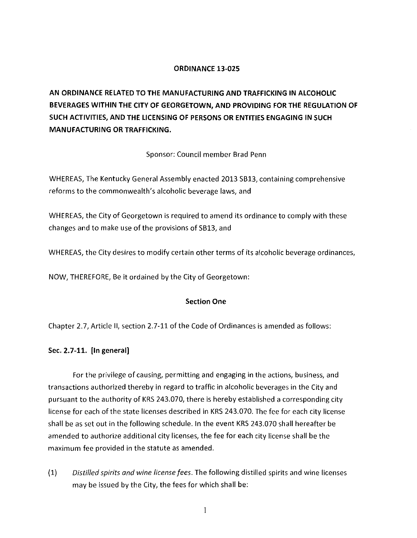# **ORDINANCE 13-025**

**AN ORDINANCE RELATED TO THE MANUFACTURING AND TRAFFICKING IN ALCOHOLIC BEVERAGES WITHIN THE CITY OF GEORGETOWN, AND PROVIDING FOR THE REGULATION OF SUCH ACTIVITIES, AND THE LICENSING OF PERSONS OR ENTITIES ENGAGING IN SUCH MANUFACTURING OR TRAFFICKING.** 

Sponsor: Council member Brad Penn

WHEREAS, The Kentucky General Assembly enacted 2013 SB13, containing comprehensive reforms to the commonwealth's alcoholic beverage laws, and

WHEREAS, the City of Georgetown is required to amend its ordinance to comply with these changes and to make use of the provisions of SB13, and

WHEREAS, the City desires to modify certain other terms of its alcoholic beverage ordinances,

NOW, THEREFORE, Be it ordained by the City of Georgetown:

## **Section One**

Chapter 2.7, Article II, section 2.7-11 of the Code of Ordinances is amended as follows:

## **Sec. 2.7-11. [In general)**

For the privilege of causing, permitting and engaging in the actions, business, and transactions authorized thereby in regard to traffic in alcoholic beverages in the City and pursuant to the authority of KRS 243.070, there is hereby established a corresponding city license for each of the state licenses described in KRS 243.070. The fee for each city license shall be as set out in the following schedule. In the event KRS 243.070 shall hereafter be amended to authorize additional city licenses, the fee for each city license shall be the maximum fee provided in the statute as amended.

(1) *Distilled spirits and wine license fees.* The following distilled spirits and wine licenses may be issued by the City, the fees for which shall be: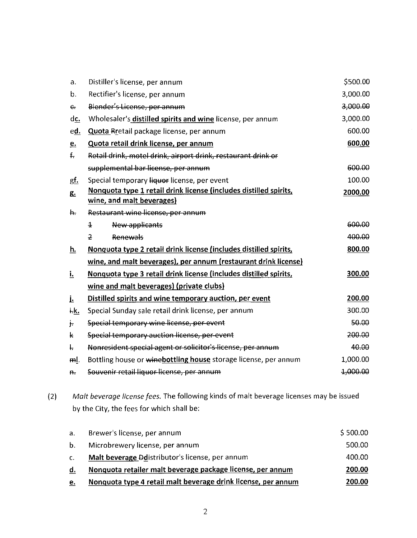| a.           | Distiller's license, per annum                                    | \$500.00 |
|--------------|-------------------------------------------------------------------|----------|
| b.           | Rectifier's license, per annum                                    | 3,000.00 |
| $\epsilon$   | Blender's License, per annum                                      | 3,000.00 |
| <u>dc.</u>   | Wholesaler's distilled spirits and wine license, per annum        | 3,000.00 |
| e <u>d.</u>  | Quota Rretail package license, per annum                          | 600.00   |
| $e$          | Quota retail drink license, per annum                             | 600.00   |
| $f_{\tau}$   | Retail drink, motel drink, airport drink, restaurant drink or     |          |
|              | supplemental bar-license, per annum                               | 600.00   |
| <u>gf.</u>   | Special temporary liquor license, per event                       | 100.00   |
| g.           | Nonquota type 1 retail drink license (includes distilled spirits, | 2000.00  |
|              | wine, and malt beverages)                                         |          |
| h.           | Restaurant wine license, per annum                                |          |
|              | $\overline{1}$<br>New applicants                                  | 600.00   |
|              | $\overline{2}$<br>Renewals                                        | 400.00   |
| h.           | Nonquota type 2 retail drink license (includes distilled spirits, | 800.00   |
|              | wine, and malt beverages), per annum (restaurant drink license)   |          |
| <u>i.</u>    | Nonquota type 3 retail drink license (includes distilled spirits, | 300.00   |
|              | wine and malt beverages) (private clubs)                          |          |
| Ŀ            | Distilled spirits and wine temporary auction, per event           | 200.00   |
| ŧк.          | Special Sunday sale retail drink license, per annum               | 300.00   |
| $\mathbf{F}$ | Special temporary wine license, per event                         | 50.00    |
| k            | Special temporary auction license, per-event                      | 200.00   |
| t.           | Nonresident special agent or solicitor's license, per annum       | 40.00    |
| mļ.          | Bottling house or winebottling house storage license, per annum   | 1,000.00 |
| Ĥ.,          | Souvenir retail liquor license, per annum                         | 1,000.00 |

(2) *Malt beverage license fees.* The following kinds of malt beverage licenses may be issued by the City, the fees for which shall be:

| a <sub>1</sub> | Brewer's license, per annum                                   | \$500.00 |
|----------------|---------------------------------------------------------------|----------|
| $b_{\perp}$    | Microbrewery license, per annum                               | 500.00   |
| $\mathsf{C}$ . | Malt beverage Ddistributor's license, per annum               | 400.00   |
| d.             | Nonquota retailer malt beverage package license, per annum    | 200.00   |
| e.             | Nonquota type 4 retail malt beverage drink license, per annum | 200.00   |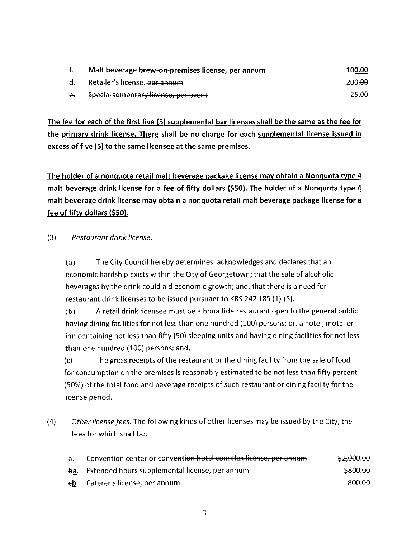|                | Malt beverage brew-on-premises license, per annum | 100.00 |
|----------------|---------------------------------------------------|--------|
| $\mathbf{d}$ . | Retailer's license, per annum                     | 200.00 |
| $e_{t}$        | Special temporary license, per event              | 25.00  |

The fee for each of the first five (5) supplemental bar licenses shall be the same as the fee for the primary drink license. There shall be no charge for each supplemental license issued in excess of five (5) to the same licensee at the same premises.

The holder of a nonquota retail malt beverage package license may obtain a Nonquota type 4 malt beverage drink license for a fee of fifty dollars (\$50). The holder of a Nonquota type 4 malt beverage drink license may obtain a nonquota retail malt beverage package license for a fee of fifty dollars (\$50).

(3) *Restaurant drink license.* 

(a) The City Council hereby determines, acknowledges and declares that an economic hardship exists within the City of Georgetown; that the sale of alcoholic beverages by the drink could aid economic growth; and, that there is a need for restaurant drink licenses to be issued pursuant to KRS 242.185 (1)-(5).

(b) A retail drink licensee must be a bona fide restaurant open to the general public having dining facilities for not less than one hundred (100) persons; or, a hotel, motel or inn containing not less than fifty (SO) sleeping units and having dining facilities for not less than one hundred (100) persons; and,

(c) The gross receipts of the restaurant or the dining facility from the sale of food for consumption on the premises is reasonably estimated to be not less than fifty percent (50%) of the total food and beverage receipts of such restaurant or dining facility for the license period.

(4) *Other license fees.* The following kinds of other licenses may be issued by the City, the fees for which shall be:

| $\partial$ . | Convention center or convention hotel complex license, per annum | \$2,000.00 |
|--------------|------------------------------------------------------------------|------------|
|              | ba. Extended hours supplemental license, per annum               | \$800.00   |
|              | eb. Caterer's license, per annum                                 | -800.00    |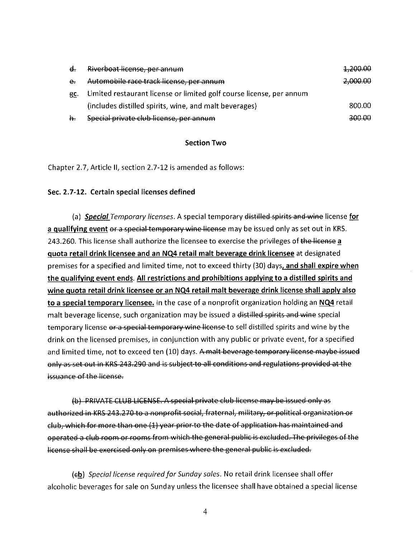| $\mathbf{d}$ . | Riverboat license, per annum                                         | 1.200.00 |
|----------------|----------------------------------------------------------------------|----------|
| $e_{\tau}$     | Automobile race-track license, per annum                             | 2,000.00 |
| ec.            | Limited restaurant license or limited golf course license, per annum |          |
|                | (includes distilled spirits, wine, and malt beverages)               | 800.00   |
| h.             | Special private club license, per annum                              | 300.00   |

# **Section Two**

Chapter 2.7, Article II, section 2.7-12 is amended as follows:

## **Sec. 2. 7-12. Certain special licenses defined**

(a) *Special Temporary licenses.* A special temporary distilled spirits and wine license for **a qualifying event or a special temporary wine license** may be issued only as set out in KRS. 243.260. This license shall authorize the licensee to exercise the privileges of the license a **quota retail drink licensee and an NQ4 retail malt beverage drink licensee** at designated premises for a specified and limited time, not to exceed thirty (30) days, **and shall expire when the qualifying event ends. All restrictions and prohibitions applying to a distilled spirits and wine quota retail drink licensee or an NQ4 retail malt beverage drink license shall apply also to a special temporary licensee.** In the case of a nonprofit organization holding an **NQ4** retail malt beverage license, such organization may be issued a distilled spirits and wine special temporary license or a special temporary wine license to sell distilled spirits and wine by the drink on the licensed premises, in conjunction with any public or private event, for a specified and limited time, not to exceed ten (10) days. A malt beverage temporary license maybe issued enly as set out in KRS 243.290 and is subject to all conditions and regulations provided at the issuance of the license.

(b) PRIVATE CLUB LICENSE. A special private club license may be issued only as authorized in KRS 243.270 to a nonprofit social, fraternal, military, or political organization or club, which for more than one (1) year prior to the date of application has maintained and operated a club room or rooms from which the general public is excluded. The privileges of the license shall be exercised only on premises where the general public is excluded.

(eb) *Special license required for Sunday sales*. No retail drink licensee shall offer alcoholic beverages for sale on Sunday unless the licensee shall have obtained a special license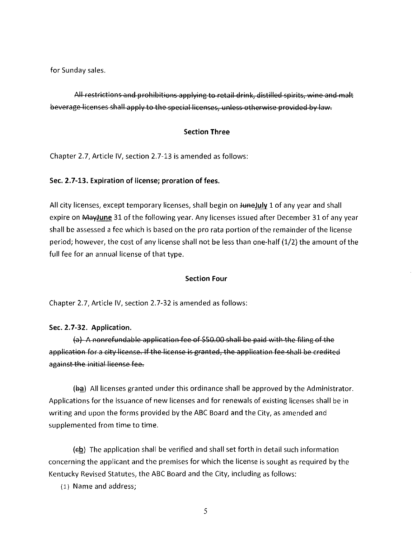for Sunday sales.

All restrictions and prohibitions applying to retail drink, distilled spirits, wine and malt beverage licenses shall apply to the special licenses, unless otherwise provided by law.

## **Section Three**

Chapter 2.7, Article IV, section 2.7-13 is amended as follows:

# **Sec. 2. 7-13. Expiration of license; proration of fees.**

All city licenses, except temporary licenses, shall begin on **JuneJuly** 1 of any year and shall expire on **MayJune** 31 of the following year. Any licenses issued after December 31 of any year shall be assessed a fee which is based on the pro rata portion of the remainder of the license period; however, the cost of any license shall not be less than one-half (1/2) the amount of the full fee for an annual license of that type.

## **Section Four**

Chapter 2.7, Article IV, section 2.7-32 is amended as follows:

## **Sec. 2.7-32. Application.**

 $(a)$  A nonrefundable application fee of \$50.00 shall be paid with the filing of the application for a city license. If the license is granted, the application fee shall be credited against the initial lieense fee.

 $(\frac{b}{a})$  All licenses granted under this ordinance shall be approved by the Administrator. Applications for the issuance of new licenses and for renewals of existing licenses shall be in writing and upon the forms provided by the ABC Board and the City, as amended and supplemented from time to time.

 $(eb)$  The application shall be verified and shall set forth in detail such information concerning the applicant and the premises for which the license is sought as required by the Kentucky Revised Statutes, the ABC Board and the City, including as follows:

(1) Name and address;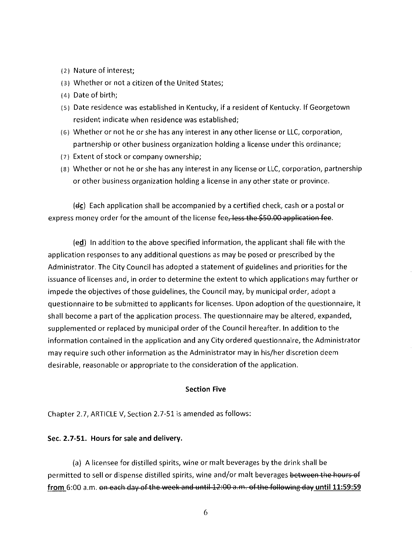- (2) Nature of interest;
- (3) Whether or not a citizen of the United States;
- ( 4) Date of birth;
- (s) Date residence was established in Kentucky, if a resident of Kentucky. If Georgetown resident indicate when residence was established;
- (6) Whether or not he or she has any interest in any other license or LLC, corporation, partnership or other business organization holding a license under this ordinance;
- ( 7) Extent of stock or company ownership;
- (8) Whether or not he or she has any interest in any license or LLC, corporation, partnership or other business organization holding a license in any other state or province.

 $(dc)$  Each application shall be accompanied by a certified check, cash or a postal or express money order for the amount of the license fee, less the \$50.00 application fee.

(ed) In addition to the above specified information, the applicant shall file with the application responses to any additional questions as may be posed or prescribed by the Administrator. The City Council has adopted a statement of guidelines and priorities for the issuance of licenses and, in order to determine the extent to which applications may further or impede the objectives of those guidelines, the Council may, by municipal order, adopt a questionnaire to be submitted to applicants for licenses. Upon adoption of the questionnaire, it shall become a part of the application process. The questionnaire may be altered, expanded, supplemented or replaced by municipal order of the Council hereafter. In addition to the information contained in the application and any City ordered questionnaire, the Administrator may require such other information as the Administrator may in his/her discretion deem desirable, reasonable or appropriate to the consideration of the application.

#### Section Five

Chapter 2.7, ARTICLE V, Section 2. 7-51 is amended as follows:

## Sec. 2.7-51. Hours for sale and delivery.

(a) A licensee for distilled spirits, wine or malt beverages by the drink shall be permitted to sell or dispense distilled spirits, wine and/or malt beverages between the hours of from 6:00 a.m. on each day of the week and until  $12:00$  a.m. of the following day until 11:59:59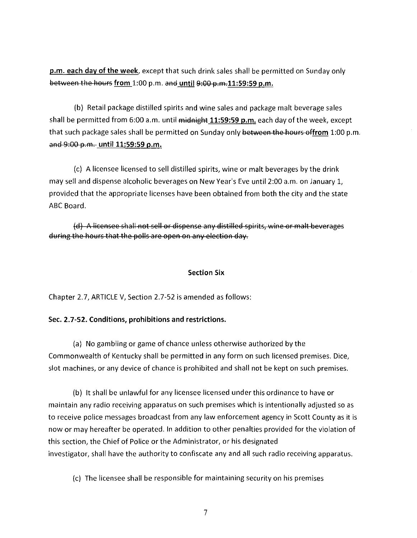**p.m. each day of the week,** except that such drink sales shall be permitted on Sunday only between the hours from 1:00 p.m. and until 9:00 p.m.11:59:59 p.m.

(b) Retail package distilled spirits and wine sales and package malt beverage sales shall be permitted from 6:00 a.m. until midnight 11:59:59 p.m. each day of the week, except that such package sales shall be permitted on Sunday only between the hours offrom 1:00 p.m. and 9:00 p.m. until 11:59:59 p.m.

(c) A licensee licensed to sell distilled spirits, wine or malt beverages by the drink may sell and dispense alcoholic beverages on New Year's Eve until 2:00 a.m. on January 1, provided that the appropriate licenses have been obtained from both the city and the state ABC Board.

(d) A licensee shall not sell or dispense any distilled spirits, wine or malt beverages during the hours that the polls are open on any election day.

### **Section Six**

Chapter 2.7, ARTICLE V, Section 2.7-52 is amended as follows:

#### **Sec. 2. 7-52. Conditions, prohibitions and restrictions.**

(a) No gambling or game of chance unless otherwise authorized by the Commonwealth of Kentucky shall be permitted in any form on such licensed premises. Dice, slot machines, or any device of chance is prohibited and shall not be kept on such premises.

(b) It shall be unlawful for any licensee licensed under this ordinance to have or maintain any radio receiving apparatus on such premises which is intentionally adjusted so as to receive police messages broadcast from any law enforcement agency in Scott County as it is now or may hereafter be operated. In addition to other penalties provided for the violation of this section, the Chief of Police or the Administrator, or his designated investigator, shall have the authority to confiscate any and all such radio receiving apparatus.

(c) The licensee shall be responsible for maintaining security on his premises

7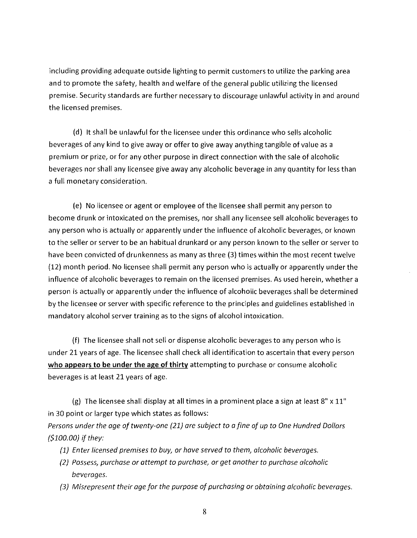including providing adequate outside lighting to permit customers to utilize the parking area and to promote the safety, health and welfare of the general public utilizing the licensed premise. Security standards are further necessary to discourage unlawful activity in and around the licensed premises.

(d) It shall be unlawful for the licensee under this ordinance who sells alcoholic beverages of any kind to give away or offer to give away anything tangible of value as a premium or prize, or for any other purpose in direct connection with the sale of alcoholic beverages nor shall any licensee give away any alcoholic beverage in any quantity for less than a full monetary consideration.

(e) No licensee or agent or employee of the licensee shall permit any person to become drunk or intoxicated on the premises, nor shall any licensee sell alcoholic beverages to any person who is actually or apparently under the influence of alcoholic beverages, or known to the seller or server to be an habitual drunkard or any person known to the seller or server to have been convicted of drunkenness as many as three (3) times within the most recent twelve (12) month period. No licensee shall permit any person who is actually or apparently under the influence of alcoholic beverages to remain on the licensed premises. As used herein, whether a person is actually or apparently under the influence of alcoholic beverages shall be determined by the licensee or server with specific reference to the principles and guidelines established in mandatory alcohol server training as to the signs of alcohol intoxication.

(f) The licensee shall not sell or dispense alcoholic beverages to any person who is under 21 years of age. The licensee shall check all identification to ascertain that every person who appears to be under the age of thirty attempting to purchase or consume alcoholic beverages is at least 21 years of age.

(g) The licensee shall display at all times in a prominent place a sign at least  $8" \times 11"$ in 30 point or larger type which states as follows:

*Persons under the age of twenty-one (21) are subject to a fine of up to One Hundred Dollars {\$100.00}* if *they:* 

- *{1) Enter licensed premises to buy, or hove served to them, alcoholic beverages.*
- *(2) Possess, purchase or attempt to purchase, or get another to purchase alcoholic beverages.*
- *{3} Misrepresent their age for the purpose of purchasing or obtaining alcoholic beverages.*

8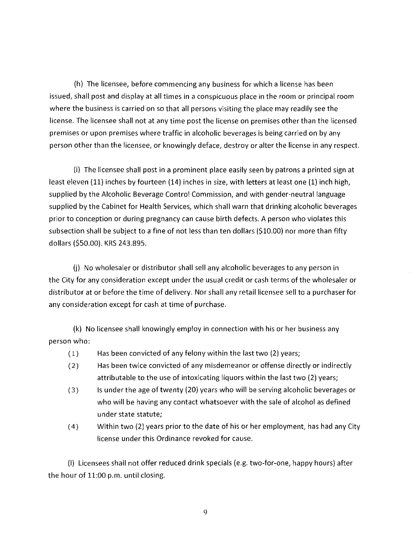(h) The licensee, before commencing any business for which a license has been issued, shall post and display at all times in a conspicuous place in the room or principal room where the business is carried on so that all persons visiting the place may readily see the license. The licensee shall not at any time post the license on premises other than the licensed premises or upon premises where traffic in alcoholic beverages is being carried on by any person other than the licensee, or knowingly deface, destroy or alter the license in any respect.

(i) The licensee shall post in a prominent place easily seen by patrons a printed sign at least eleven (11) inches by fourteen (14) inches in size, with letters at least one (1) inch high, supplied by the Alcoholic Beverage Control Commission, and with gender-neutral language supplied by the Cabinet for Health Services, which shall warn that drinking alcoholic beverages prior to conception or during pregnancy can cause birth defects. A person who violates this subsection shall be subject to a fine of not less than ten dollars (\$10.00) nor more than fifty dollars (\$50.00). KRS 243.895.

(j) No wholesaler or distributor shall sell any alcoholic beverages to any person in the City for any consideration except under the usual credit or cash terms of the wholesaler or distributor at or before the time of delivery. Nor shall any retail licensee sell to a purchaser for any consideration except for cash at time of purchase.

(k) No licensee shall knowingly employ in connection with his or her business any person who:

- ( 1) Has been convicted of any felony within the last two (2) years;
- ( 2) Has been twice convicted of any misdemeanor or offense directly or indirectly attributable to the use of intoxicating liquors within the last two (2) years;
- ( 3) Is under the age of twenty (20) years who will be serving alcoholic beverages or who will be having any contact whatsoever with the sale of alcohol as defined under state statute;
- ( 4) Within two (2) years prior to the date of his or her employment, has had any City license under this Ordinance revoked for cause.

(I) Licensees shall not offer reduced drink specials (e.g. two-for-one, happy hours) after the hour of 11:00 p.m. until closing.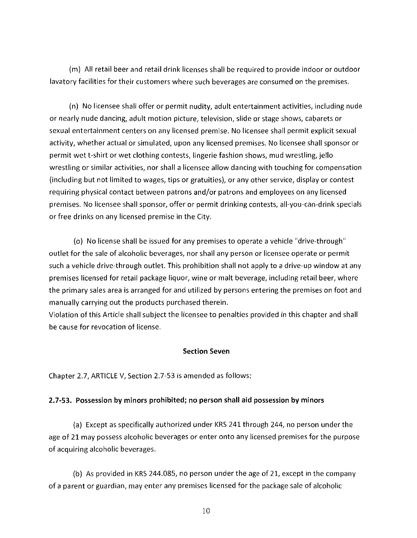(m) All retail beer and retail drink licenses shall be required to provide indoor or outdoor lavatory facilities for their customers where such beverages are consumed on the premises.

(n) No licensee shall offer or permit nudity, adult entertainment activities, including nude or nearly nude dancing, adult motion picture, television, slide or stage shows, cabarets or sexual entertainment centers on any licensed premise. No licensee shall permit explicit sexual activity, whether actual or simulated, upon any licensed premises. No licensee shall sponsor or permit wet t-shirt or wet clothing contests, lingerie fashion shows, mud wrestling, jello wrestling or similar activities, nor shall a licensee allow dancing with touching for compensation (including but not limited to wages, tips or gratuities), or any other service, display or contest requiring physical contact between patrons and/or patrons and employees on any licensed premises. No licensee shall sponsor, offer or permit drinking contests, all-you-can-drink specials or free drinks on any licensed premise in the City.

(o) No license shall be issued for any premises to operate a vehicle "drive-through" outlet for the sale of alcoholic beverages, nor shall any person or licensee operate or permit such a vehicle drive-through outlet. This prohibition shall not apply to a drive-up window at any premises licensed for retail package liquor, wine or malt beverage, including retail beer, where the primary sales area is arranged for and utilized by persons entering the premises on foot and manually carrying out the products purchased therein.

Violation of this Article shall subject the licensee to penalties provided in this chapter and shall be cause for revocation of license.

#### **Section Seven**

Chapter 2.7, ARTICLE V, Section 2.7-53 is amended as follows:

#### **2.7-S3. Possession by minors prohibited; no person shall aid possession by minors**

(a) Except as specifically authorized under KRS 241 through 244, no person under the age of 21 may possess alcoholic beverages or enter onto any licensed premises for the purpose of acquiring alcoholic beverages.

(b) As provided in KRS 244.085, no person under the age of 21, except in the company of a parent or guardian, may enter any premises licensed for the package sale of alcoholic

10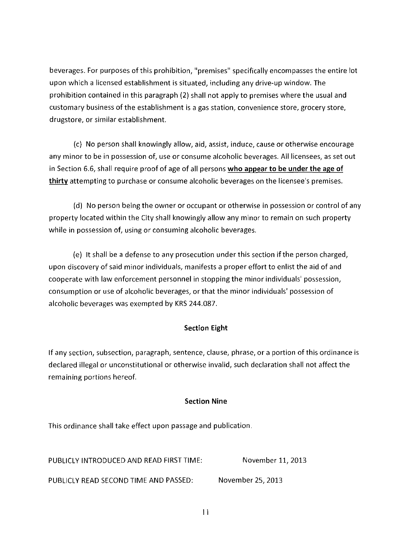beverages. For purposes of this prohibition, "premises" specifically encompasses the entire lot upon which a licensed establishment is situated, including any drive-up window. The prohibition contained in this paragraph (2) shall not apply to premises where the usual and customary business of the establishment is a gas station, convenience store, grocery store, drugstore, or similar establishment.

(c) No person shall knowingly allow, aid, assist, induce, cause or otherwise encourage any minor to be in possession of, use or consume alcoholic beverages. All licensees, as set out in Section 6.6, shall require proof of age of all persons **who appear to be under the age of thirty** attempting to purchase or consume alcoholic beverages on the licensee's premises.

(d) No person being the owner or occupant or otherwise in possession or control of any property located within the City shall knowingly allow any minor to remain on such property while in possession of, using or consuming alcoholic beverages.

(e) It shall be a defense to any prosecution under this section if the person charged, upon discovery of said minor individuals, manifests a proper effort to enlist the aid of and cooperate with law enforcement personnel in stopping the minor individuals' possession, consumption or use of alcoholic beverages, or that the minor individuals' possession of alcoholic beverages was exempted by KRS 244.087.

# **Section Eight**

If any section, subsection, paragraph, sentence, clause, phrase, or a portion of this ordinance is declared illegal or unconstitutional or otherwise invalid, such declaration shall not affect the remaining portions hereof.

# **Section Nine**

This ordinance shall take effect upon passage and publication.

PUBLICLY INTRODUCED AND READ FIRST TIME: November 11, 2013

PUBLICLY READ SECOND TIME AND PASSED: November 25, 2013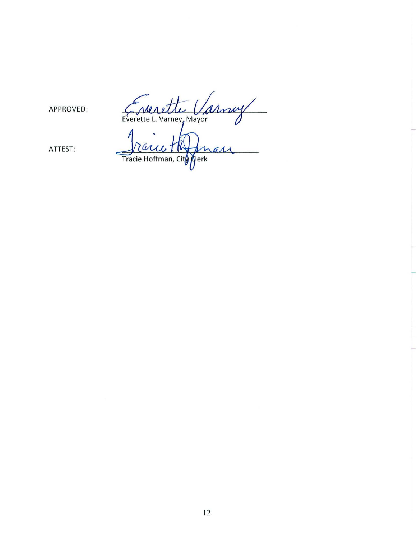Everette Varney

APPROVED:

ATTEST:

Tracce TNJ max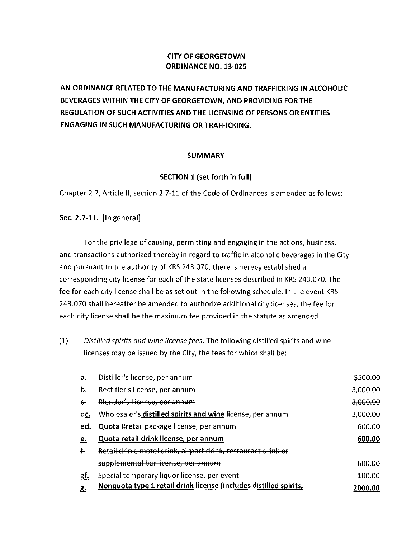# **CITY OF GEORGETOWN ORDINANCE NO. 13-025**

**AN ORDINANCE RELATED TO THE MANUFACTURING AND TRAFFICKING IN ALCOHOLIC BEVERAGES WITHIN THE CITY OF GEORGETOWN, AND PROVIDING FOR THE REGULATION OF SUCH ACTIVITIES AND THE LICENSING OF PERSONS OR ENTITIES ENGAGING IN SUCH MANUFACTURING OR TRAFFICKING.** 

# **SUMMARY**

# **SECTION 1 (set forth in full)**

Chapter 2.7, Article **11,** section 2. 7-11 of the Code of Ordinances is amended as follows:

## **Sec. 2.7-11. [In general)**

For the privilege of causing, permitting and engaging in the actions, business, and transactions authorized thereby in regard to traffic in alcoholic beverages in the City and pursuant to the authority of KRS 243.070, there is hereby established a corresponding city license for each of the state licenses described in KRS 243.070. The fee for each city license shall be as set out in the following schedule. In the event KRS 243.070 shall hereafter be amended to authorize additional city licenses, the fee for each city license shall be the maximum fee provided in the statute as amended.

(1) *Distilled spirits and wine license fees.* The following distilled spirits and wine licenses may be issued by the City, the fees for which shall be:

| $\mathbf{a}$ . | Distiller's license, per annum                                    | \$500.00 |
|----------------|-------------------------------------------------------------------|----------|
| b.             | Rectifier's license, per annum                                    | 3,000.00 |
| $\epsilon$     | Blender's License, per annum                                      | 3,000.00 |
| dc.            | Wholesaler's distilled spirits and wine license, per annum        | 3,000.00 |
| ed.            | Quota Rretail package license, per annum                          | 600.00   |
| <u>e.</u>      | Quota retail drink license, per annum                             | 600.00   |
| f.             | Retail drink, motel drink, airport drink, restaurant drink or     |          |
|                | supplemental bar license, per annum                               | 600.00   |
| gf.            | Special temporary liquor license, per event                       | 100.00   |
| £.             | Nonquota type 1 retail drink license (includes distilled spirits, | 2000.00  |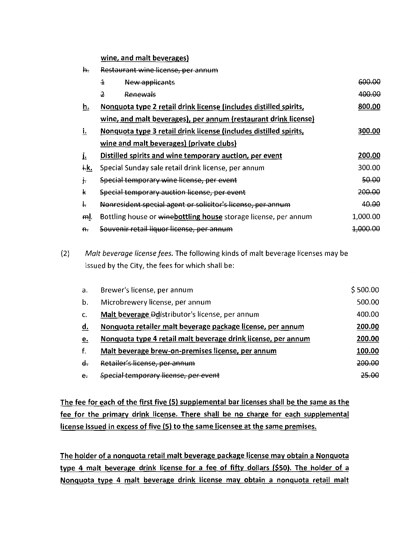wine, and malt beverages)

| h.         | Restaurant wine license, per annum                                |                     |
|------------|-------------------------------------------------------------------|---------------------|
|            | $\overline{1}$<br>New applicants                                  | 600.00              |
|            | 2<br>Renewals                                                     | 400.00              |
| h.         | Nonquota type 2 retail drink license (includes distilled spirits, | 800.00              |
|            | wine, and malt beverages), per annum (restaurant drink license)   |                     |
| i.         | Nonquota type 3 retail drink license (includes distilled spirits, | 300.00              |
|            | wine and malt beverages) (private clubs)                          |                     |
| Ŀ          | Distilled spirits and wine temporary auction, per event           | 200.00              |
| ÷k.        | Special Sunday sale retail drink license, per annum               | 300.00              |
| $\dot{+}$  | Special temporary wine license, per event                         | 50.00               |
| k          | Special temporary auction license, per event                      | 200.00              |
| t.         | Nonresident special agent or solicitor's license, per annum       | 40.00               |
| ml.        | Bottling house or winebottling house storage license, per annum   | 1,000.00            |
| $H_{\tau}$ | Souvenir retail liquor license, per annum                         | <del>1 000.00</del> |
|            |                                                                   |                     |

(2) *Malt beverage license fees.* The following kinds of malt beverage licenses may be issued by the City, the fees for which shall be:

| a.           | Brewer's license, per annum                                   | \$500.00 |
|--------------|---------------------------------------------------------------|----------|
| b.           | Microbrewery license, per annum                               | 500.00   |
| $\mathbf{C}$ | Malt beverage Ddistributor's license, per annum               | 400.00   |
| d.           | Nonquota retailer malt beverage package license, per annum    | 200.00   |
| e.           | Nonguota type 4 retail malt beverage drink license, per annum | 200.00   |
| f.           | Malt beverage brew-on-premises license, per annum             | 100.00   |
| $\mathbf{d}$ | Retailer's license, per annum                                 | 200.00   |
| $\mathbf{e}$ | Special temporary license, per event                          | 25.QQ    |

The fee for each of the first five (5) supplemental bar licenses shall be the same as the fee for the primary drink license. There shall be no charge for each supplemental license issued in excess of five (5) to the same licensee at the same premises.

The holder of a nonguota retail malt beverage package license may obtain a Nonquota type 4 malt beverage drink license for a fee of fifty dollars (\$50). The holder of a Nonguota type 4 malt beverage drink license may obtain a nonguota retail malt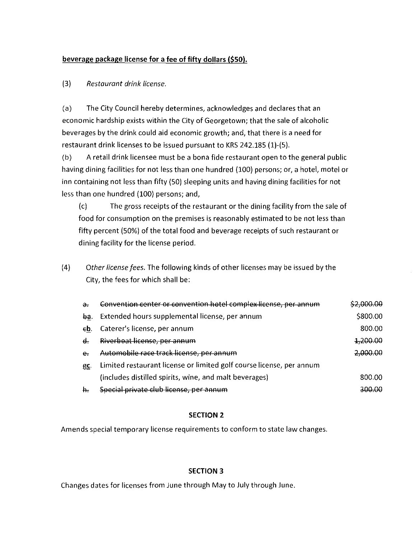# **beverage package license for a fee of fifty dollars (\$50).**

# (3) *Restaurant drink license.*

(a) The City Council hereby determines, acknowledges and declares that an economic hardship exists within the City of Georgetown; that the sale of alcoholic beverages by the drink could aid economic growth; and, that there is a need for restaurant drink licenses to be issued pursuant to KRS 242.185 (1)-(5).

(b) A retail drink licensee must be a bona fide restaurant open to the general public having dining facilities for not less than one hundred (100) persons; or, a hotel, motel or inn containing not less than fifty (50) sleeping units and having dining facilities for not less than one hundred (100) persons; and,

(c) The gross receipts of the restaurant or the dining facility from the sale of food for consumption on the premises is reasonably estimated to be not less than fifty percent (50%) of the total food and beverage receipts of such restaurant or dining facility for the license period.

(4) *Other license fees.* The following kinds of other licenses may be issued by the City, the fees for which shall be:

| $\partial$ . | Convention center or convention hotel complex license, per annum     |                     |
|--------------|----------------------------------------------------------------------|---------------------|
| ba.          | Extended hours supplemental license, per annum                       | \$800.00            |
| €b.          | Caterer's license, per annum                                         | 800.00              |
| €.           | Riverboat license, per annum                                         | <del>1,200.00</del> |
| e.           | Automobile race track license, per annum                             | 2,000.00            |
| £C.          | Limited restaurant license or limited golf course license, per annum |                     |
|              | (includes distilled spirits, wine, and malt beverages)               | 800.00              |
| h.           | Special private club license, per annum                              |                     |

# **SECTION 2**

Amends special temporary license requirements to conform to state law changes.

## **SECTION 3**

Changes dates for licenses from June through May to July through June.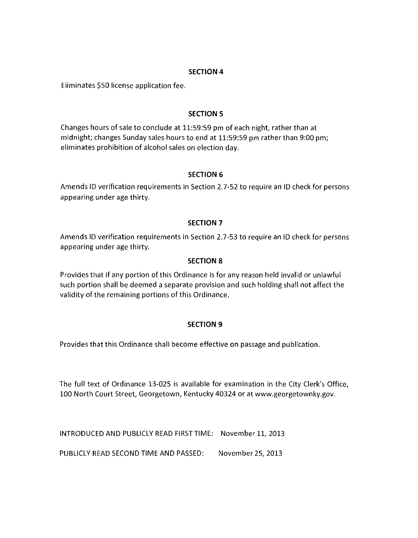# **SECTION 4**

Eliminates \$50 license application fee.

# **SECTION 5**

Changes hours of sale to conclude at 11:59:59 pm of each night, rather than at midnight; changes Sunday sales hours to end at 11:59:59 pm rather than 9:00 pm; eliminates prohibition of alcohol sales on election day.

# **SECTION 6**

Amends ID verification requirements in Section 2.7-52 to require an ID check for persons appearing under age thirty.

# **SECTION 7**

Amends ID verification requirements in Section 2.7-53 to require an ID check for persons appearing under age thirty.

## **SECTION 8**

Provides that if any portion of this Ordinance is for any reason held invalid or unlawful such portion shall be deemed a separate provision and such holding shall not affect the validity of the remaining portions of this Ordinance.

# **SECTION 9**

Provides that this Ordinance shall become effective on passage and publication.

The full text of Ordinance 13-025 is available for examination in the City Clerk's Office, 100 North Court Street, Georgetown, Kentucky 40324 or at www.georgetownky.gov.

INTRODUCED AND PUBLICLY READ FIRST TIME: November 11, 2013

PUBLICLY READ SECOND TIME AND PASSED: November 25, 2013